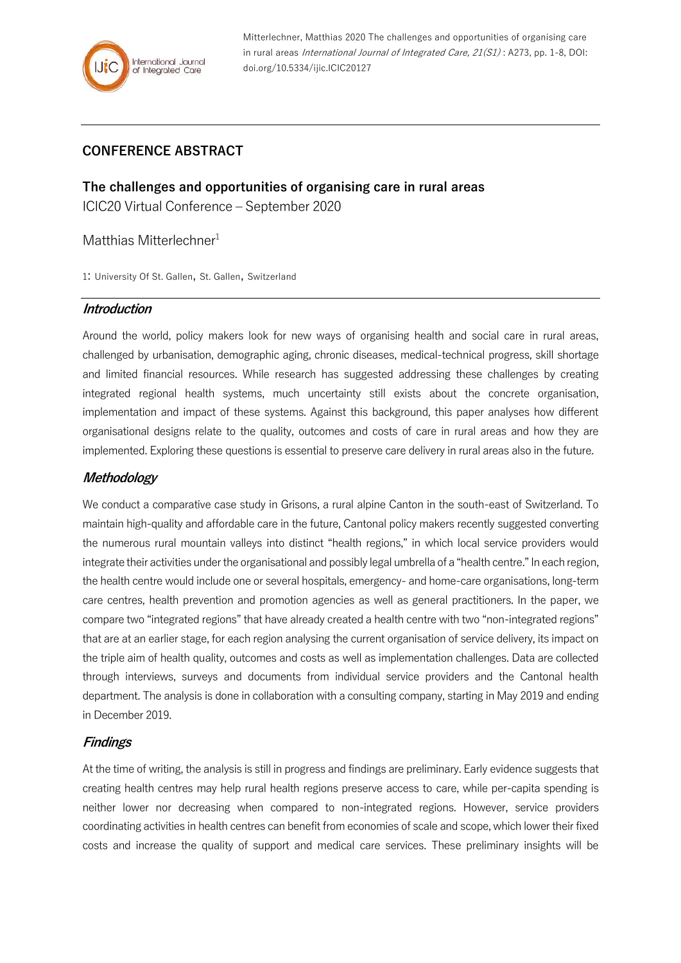Mitterlechner, Matthias 2020 The challenges and opportunities of organising care in rural areas International Journal of Integrated Care, 21(S1) : A273, pp. 1-8, DOI: doi.org/10.5334/ijic.ICIC20127

# **CONFERENCE ABSTRACT**

**The challenges and opportunities of organising care in rural areas** ICIC20 Virtual Conference – September 2020

### Matthias Mitterlechner<sup>1</sup>

1: University Of St. Gallen, St. Gallen, Switzerland

#### **Introduction**

Around the world, policy makers look for new ways of organising health and social care in rural areas, challenged by urbanisation, demographic aging, chronic diseases, medical-technical progress, skill shortage and limited financial resources. While research has suggested addressing these challenges by creating integrated regional health systems, much uncertainty still exists about the concrete organisation, implementation and impact of these systems. Against this background, this paper analyses how different organisational designs relate to the quality, outcomes and costs of care in rural areas and how they are implemented. Exploring these questions is essential to preserve care delivery in rural areas also in the future.

#### **Methodology**

We conduct a comparative case study in Grisons, a rural alpine Canton in the south-east of Switzerland. To maintain high-quality and affordable care in the future, Cantonal policy makers recently suggested converting the numerous rural mountain valleys into distinct "health regions," in which local service providers would integrate their activities under the organisational and possibly legal umbrella of a "health centre." In each region, the health centre would include one or several hospitals, emergency- and home-care organisations, long-term care centres, health prevention and promotion agencies as well as general practitioners. In the paper, we compare two "integrated regions" that have already created a health centre with two "non-integrated regions" that are at an earlier stage, for each region analysing the current organisation of service delivery, its impact on the triple aim of health quality, outcomes and costs as well as implementation challenges. Data are collected through interviews, surveys and documents from individual service providers and the Cantonal health department. The analysis is done in collaboration with a consulting company, starting in May 2019 and ending in December 2019.

## **Findings**

At the time of writing, the analysis is still in progress and findings are preliminary. Early evidence suggests that creating health centres may help rural health regions preserve access to care, while per-capita spending is neither lower nor decreasing when compared to non-integrated regions. However, service providers coordinating activities in health centres can benefit from economies of scale and scope, which lower their fixed costs and increase the quality of support and medical care services. These preliminary insights will be